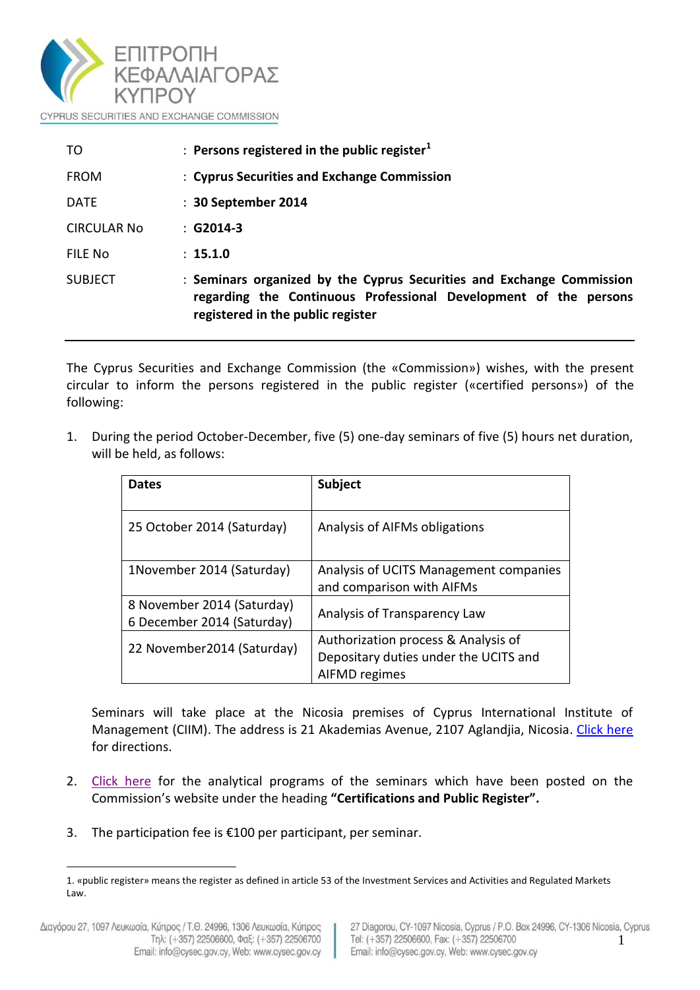

| TO             | : Persons registered in the public register $1$                                                                                                                                |  |  |
|----------------|--------------------------------------------------------------------------------------------------------------------------------------------------------------------------------|--|--|
| <b>FROM</b>    | : Cyprus Securities and Exchange Commission                                                                                                                                    |  |  |
| <b>DATE</b>    | : 30 September 2014                                                                                                                                                            |  |  |
| CIRCULAR No    | $:$ G2014-3                                                                                                                                                                    |  |  |
| FILF No        | : 15.1.0                                                                                                                                                                       |  |  |
| <b>SUBJECT</b> | : Seminars organized by the Cyprus Securities and Exchange Commission<br>regarding the Continuous Professional Development of the persons<br>registered in the public register |  |  |

The Cyprus Securities and Exchange Commission (the «Commission») wishes, with the present circular to inform the persons registered in the public register («certified persons») of the following:

1. During the period October-December, five (5) one-day seminars of five (5) hours net duration, will be held, as follows:

| <b>Dates</b>                                             | <b>Subject</b>                                                                                |
|----------------------------------------------------------|-----------------------------------------------------------------------------------------------|
| 25 October 2014 (Saturday)                               | Analysis of AIFMs obligations                                                                 |
| 1November 2014 (Saturday)                                | Analysis of UCITS Management companies<br>and comparison with AIFMs                           |
| 8 November 2014 (Saturday)<br>6 December 2014 (Saturday) | Analysis of Transparency Law                                                                  |
| 22 November 2014 (Saturday)                              | Authorization process & Analysis of<br>Depositary duties under the UCITS and<br>AIFMD regimes |

Seminars will take place at the Nicosia premises of Cyprus International Institute of Management (CIIM). The address is 21 Akademias Avenue, 2107 Aglandjia, Nicosia. [Click here](http://www.ciim.ac.cy/contact-us.html) for directions.

- 2. [Click here](http://www.cysec.gov.cy/Downloads/Various/προγράμματα%20σεμιναρίων%20(2).pdf) for the analytical programs of the seminars which have been posted on the Commission's website under the heading **"Certifications and Public Register".**
- 3. The participation fee is  $£100$  per participant, per seminar.

<u>.</u>

<sup>1.</sup> «public register» means the register as defined in article 53 of the Investment Services and Activities and Regulated Markets Law.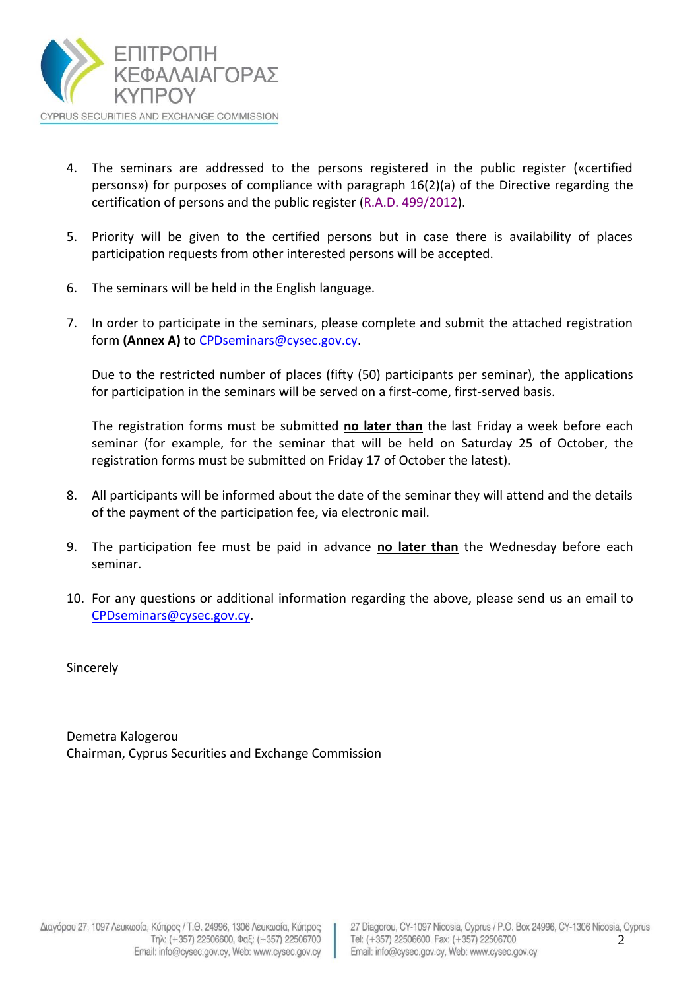

- 4. The seminars are addressed to the persons registered in the public register («certified persons») for purposes of compliance with paragraph 16(2)(a) of the Directive regarding the certification of persons and the public register (R.A.D. [499/2012\)](http://www.cysec.gov.cy/Downloads/Directives/General/Οδηγία%20για%20την%20πιστοποίηση%20προσώπων%20-%20ΚΔΠ499-2012%20ΚΔΠ218-2013%20(consolidated).pdf).
- 5. Priority will be given to the certified persons but in case there is availability of places participation requests from other interested persons will be accepted.
- 6. The seminars will be held in the English language.
- 7. In order to participate in the seminars, please complete and submit the attached registration form **(Annex A)** to [CPDseminars@cysec.gov.cy.](mailto:CPDseminars@cysec.gov.cy)

Due to the restricted number of places (fifty (50) participants per seminar), the applications for participation in the seminars will be served on a first-come, first-served basis.

The registration forms must be submitted **no later than** the last Friday a week before each seminar (for example, for the seminar that will be held on Saturday 25 of October, the registration forms must be submitted on Friday 17 of October the latest).

- 8. All participants will be informed about the date of the seminar they will attend and the details of the payment of the participation fee, via electronic mail.
- 9. The participation fee must be paid in advance **no later than** the Wednesday before each seminar.
- 10. For any questions or additional information regarding the above, please send us an email to [CPDseminars@cysec.gov.cy.](mailto:CPDseminars@cysec.gov.cy)

Sincerely

Demetra Kalogerou Chairman, Cyprus Securities and Exchange Commission